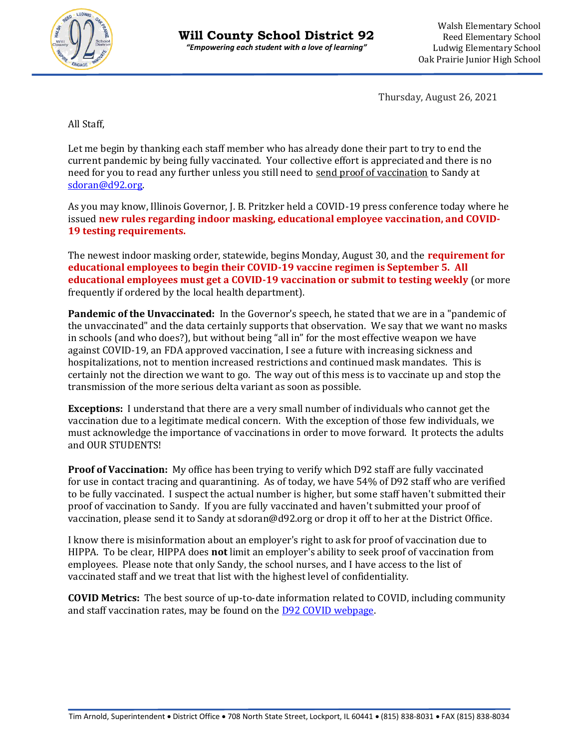

Thursday, August 26, 2021

All Staff,

Let me begin by thanking each staff member who has already done their part to try to end the current pandemic by being fully vaccinated. Your collective effort is appreciated and there is no need for you to read any further unless you still need to send proof of vaccination to Sandy at [sdoran@d92.org.](mailto:sdoran@d92.org)

As you may know, Illinois Governor, J. B. Pritzker held a COVID-19 press conference today where he issued **new rules regarding indoor masking, educational employee vaccination, and COVID-19 testing requirements.** 

The newest indoor masking order, statewide, begins Monday, August 30, and the **requirement for educational employees to begin their COVID-19 vaccine regimen is September 5. All educational employees must get a COVID-19 vaccination or submit to testing weekly** (or more frequently if ordered by the local health department).

**Pandemic of the Unvaccinated:** In the Governor's speech, he stated that we are in a "pandemic of the unvaccinated" and the data certainly supports that observation. We say that we want no masks in schools (and who does?), but without being "all in" for the most effective weapon we have against COVID-19, an FDA approved vaccination, I see a future with increasing sickness and hospitalizations, not to mention increased restrictions and continued mask mandates. This is certainly not the direction we want to go. The way out of this mess is to vaccinate up and stop the transmission of the more serious delta variant as soon as possible.

**Exceptions:** I understand that there are a very small number of individuals who cannot get the vaccination due to a legitimate medical concern. With the exception of those few individuals, we must acknowledge the importance of vaccinations in order to move forward. It protects the adults and OUR STUDENTS!

**Proof of Vaccination:** My office has been trying to verify which D92 staff are fully vaccinated for use in contact tracing and quarantining. As of today, we have 54% of D92 staff who are verified to be fully vaccinated. I suspect the actual number is higher, but some staff haven't submitted their proof of vaccination to Sandy. If you are fully vaccinated and haven't submitted your proof of vaccination, please send it to Sandy at sdoran@d92.org or drop it off to her at the District Office.

I know there is misinformation about an employer's right to ask for proof of vaccination due to HIPPA. To be clear, HIPPA does **not** limit an employer's ability to seek proof of vaccination from employees. Please note that only Sandy, the school nurses, and I have access to the list of vaccinated staff and we treat that list with the highest level of confidentiality.

**COVID Metrics:** The best source of up-to-date information related to COVID, including community and staff vaccination rates, may be found on the [D92 COVID webpage.](https://www.d92.org/domain/62)